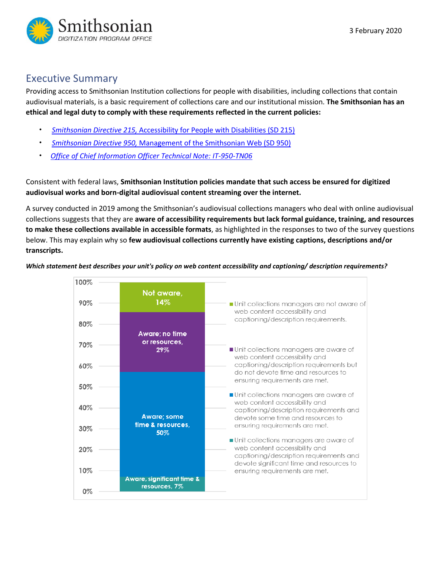

## Executive Summary

Providing access to Smithsonian Institution collections for people with disabilities, including collections that contain audiovisual materials, is a basic requirement of collections care and our institutional mission. **The Smithsonian has an ethical and legal duty to comply with these requirements reflected in the current policies:** 

- *Smithsonian Directive 215,* [Accessibility for People with Disabilities \(SD 215\)](https://sinet.sharepoint.com/sites/PRISM2/SIOrganization/OCFO/opmb/SD/SD215.pdf)
- *Smithsonian Directive 950,* [Management of the Smithsonian Web \(SD 950\)](https://sinet.sharepoint.com/sites/PRISM2/SIOrganization/OCFO/OPMB/SD/SD950.pdf)
- *Office of Chief Information Officer Technical Note: [IT-950-TN06](https://sinet.sharepoint.com/sites/PRISM2/OCIO/ITPolicies/IT-950-TN06.pdf)*

Consistent with federal laws, **Smithsonian Institution policies mandate that such access be ensured for digitized audiovisual works and born-digital audiovisual content streaming over the internet.**

A survey conducted in 2019 among the Smithsonian's audiovisual collections managers who deal with online audiovisual collections suggests that they are **aware of accessibility requirements but lack formal guidance, training, and resources to make these collections available in accessible formats**, as highlighted in the responses to two of the survey questions below. This may explain why so **few audiovisual collections currently have existing captions, descriptions and/or transcripts.**

*Which statement best describes your unit's policy on web content accessibility and captioning/ description requirements?*